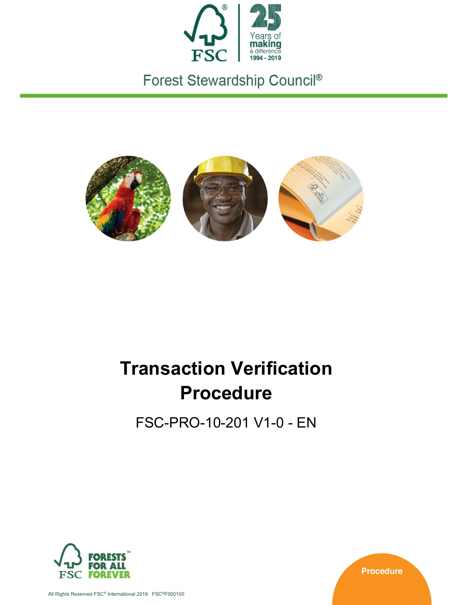

Forest Stewardship Council®



# Transaction Verification Procedure

FSC-PRO-10-201 V1-0 - EN



**Procedure** 

All Rights Reserved FSC® International 2019 FSC®F000100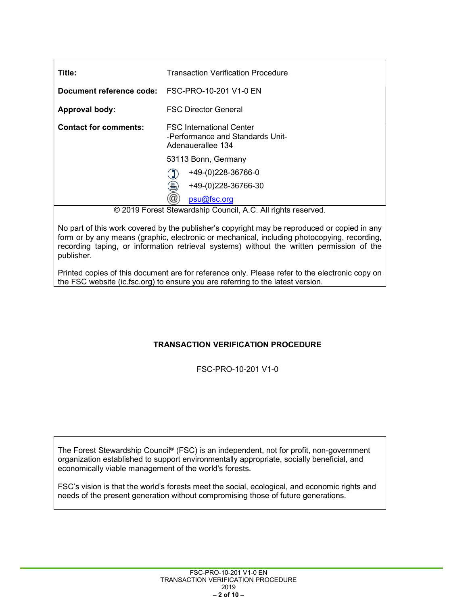| Title:                                                       | Transaction Verification Procedure                                                       |  |
|--------------------------------------------------------------|------------------------------------------------------------------------------------------|--|
| Document reference code: FSC-PRO-10-201 V1-0 EN              |                                                                                          |  |
| <b>Approval body:</b>                                        | <b>FSC Director General</b>                                                              |  |
| <b>Contact for comments:</b>                                 | <b>FSC</b> International Center<br>-Performance and Standards Unit-<br>Adenauerallee 134 |  |
|                                                              | 53113 Bonn, Germany                                                                      |  |
|                                                              | +49-(0)228-36766-0                                                                       |  |
|                                                              | 昌<br>+49-(0)228-36766-30                                                                 |  |
|                                                              | psu@fsc.org                                                                              |  |
| © 2019 Forest Stewardship Council, A.C. All rights reserved. |                                                                                          |  |

No part of this work covered by the publisher's copyright may be reproduced or copied in any form or by any means (graphic, electronic or mechanical, including photocopying, recording, recording taping, or information retrieval systems) without the written permission of the publisher.

Printed copies of this document are for reference only. Please refer to the electronic copy on the FSC website (ic.fsc.org) to ensure you are referring to the latest version.

## TRANSACTION VERIFICATION PROCEDURE

FSC-PRO-10-201 V1-0

The Forest Stewardship Council® (FSC) is an independent, not for profit, non-government organization established to support environmentally appropriate, socially beneficial, and economically viable management of the world's forests.

FSC's vision is that the world's forests meet the social, ecological, and economic rights and needs of the present generation without compromising those of future generations.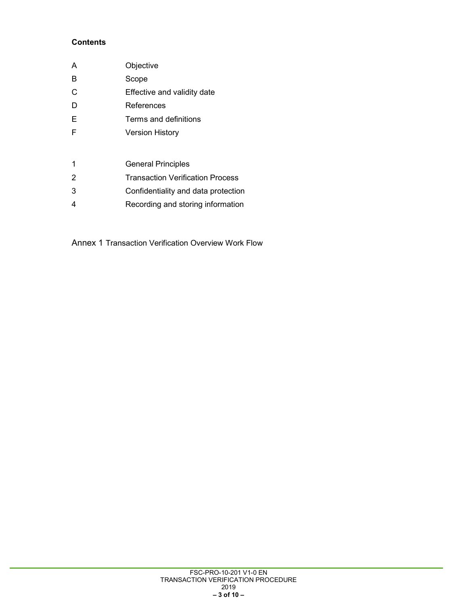## **Contents**

| A | Objective                               |
|---|-----------------------------------------|
| B | Scope                                   |
| C | Effective and validity date             |
| D | References                              |
| Е | Terms and definitions                   |
| F | <b>Version History</b>                  |
|   |                                         |
| 1 | <b>General Principles</b>               |
| 2 | <b>Transaction Verification Process</b> |
| 3 | Confidentiality and data protection     |
| 4 | Recording and storing information       |
|   |                                         |

Annex 1 Transaction Verification Overview Work Flow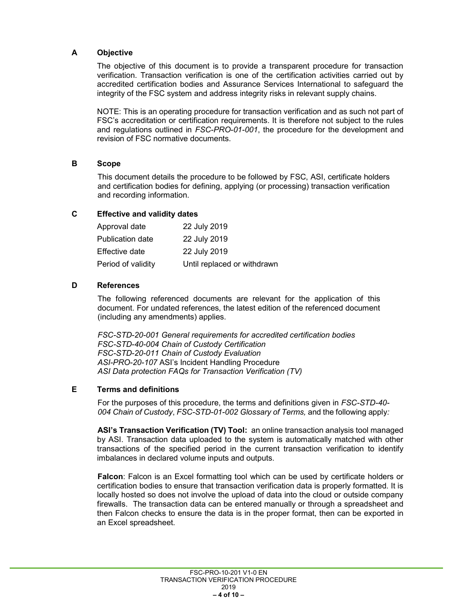### A Objective

The objective of this document is to provide a transparent procedure for transaction verification. Transaction verification is one of the certification activities carried out by accredited certification bodies and Assurance Services International to safeguard the integrity of the FSC system and address integrity risks in relevant supply chains.

NOTE: This is an operating procedure for transaction verification and as such not part of FSC's accreditation or certification requirements. It is therefore not subject to the rules and regulations outlined in FSC-PRO-01-001, the procedure for the development and revision of FSC normative documents.

#### B Scope

This document details the procedure to be followed by FSC, ASI, certificate holders and certification bodies for defining, applying (or processing) transaction verification and recording information.

#### C Effective and validity dates

| Approval date      | 22 July 2019                |
|--------------------|-----------------------------|
| Publication date   | 22 July 2019                |
| Effective date     | 22 July 2019                |
| Period of validity | Until replaced or withdrawn |

#### D References

The following referenced documents are relevant for the application of this document. For undated references, the latest edition of the referenced document (including any amendments) applies.

FSC-STD-20-001 General requirements for accredited certification bodies FSC-STD-40-004 Chain of Custody Certification FSC-STD-20-011 Chain of Custody Evaluation ASI-PRO-20-107 ASI's Incident Handling Procedure ASI Data protection FAQs for Transaction Verification (TV)

#### E Terms and definitions

For the purposes of this procedure, the terms and definitions given in FSC-STD-40- 004 Chain of Custody, FSC-STD-01-002 Glossary of Terms, and the following apply:

ASI's Transaction Verification (TV) Tool: an online transaction analysis tool managed by ASI. Transaction data uploaded to the system is automatically matched with other transactions of the specified period in the current transaction verification to identify imbalances in declared volume inputs and outputs.

Falcon: Falcon is an Excel formatting tool which can be used by certificate holders or certification bodies to ensure that transaction verification data is properly formatted. It is locally hosted so does not involve the upload of data into the cloud or outside company firewalls. The transaction data can be entered manually or through a spreadsheet and then Falcon checks to ensure the data is in the proper format, then can be exported in an Excel spreadsheet.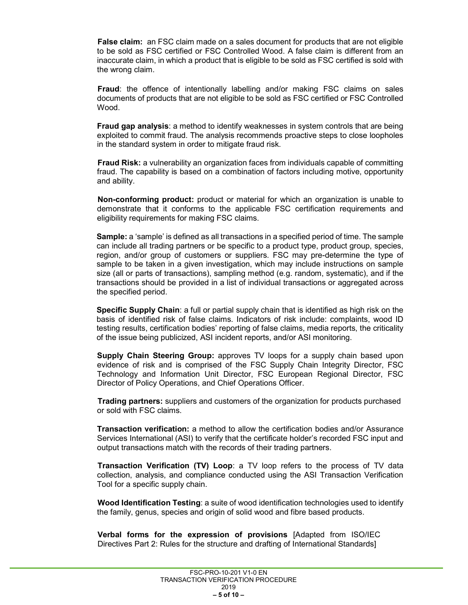False claim: an FSC claim made on a sales document for products that are not eligible to be sold as FSC certified or FSC Controlled Wood. A false claim is different from an inaccurate claim, in which a product that is eligible to be sold as FSC certified is sold with the wrong claim.

Fraud: the offence of intentionally labelling and/or making FSC claims on sales documents of products that are not eligible to be sold as FSC certified or FSC Controlled Wood.

Fraud gap analysis: a method to identify weaknesses in system controls that are being exploited to commit fraud. The analysis recommends proactive steps to close loopholes in the standard system in order to mitigate fraud risk.

Fraud Risk: a vulnerability an organization faces from individuals capable of committing fraud. The capability is based on a combination of factors including motive, opportunity and ability.

Non-conforming product: product or material for which an organization is unable to demonstrate that it conforms to the applicable FSC certification requirements and eligibility requirements for making FSC claims.

Sample: a 'sample' is defined as all transactions in a specified period of time. The sample can include all trading partners or be specific to a product type, product group, species, region, and/or group of customers or suppliers. FSC may pre-determine the type of sample to be taken in a given investigation, which may include instructions on sample size (all or parts of transactions), sampling method (e.g. random, systematic), and if the transactions should be provided in a list of individual transactions or aggregated across the specified period.

Specific Supply Chain: a full or partial supply chain that is identified as high risk on the basis of identified risk of false claims. Indicators of risk include: complaints, wood ID testing results, certification bodies' reporting of false claims, media reports, the criticality of the issue being publicized, ASI incident reports, and/or ASI monitoring.

Supply Chain Steering Group: approves TV loops for a supply chain based upon evidence of risk and is comprised of the FSC Supply Chain Integrity Director, FSC Technology and Information Unit Director, FSC European Regional Director, FSC Director of Policy Operations, and Chief Operations Officer.

Trading partners: suppliers and customers of the organization for products purchased or sold with FSC claims.

Transaction verification: a method to allow the certification bodies and/or Assurance Services International (ASI) to verify that the certificate holder's recorded FSC input and output transactions match with the records of their trading partners.

Transaction Verification (TV) Loop: a TV loop refers to the process of TV data collection, analysis, and compliance conducted using the ASI Transaction Verification Tool for a specific supply chain.

Wood Identification Testing: a suite of wood identification technologies used to identify the family, genus, species and origin of solid wood and fibre based products.

Verbal forms for the expression of provisions [Adapted from ISO/IEC Directives Part 2: Rules for the structure and drafting of International Standards]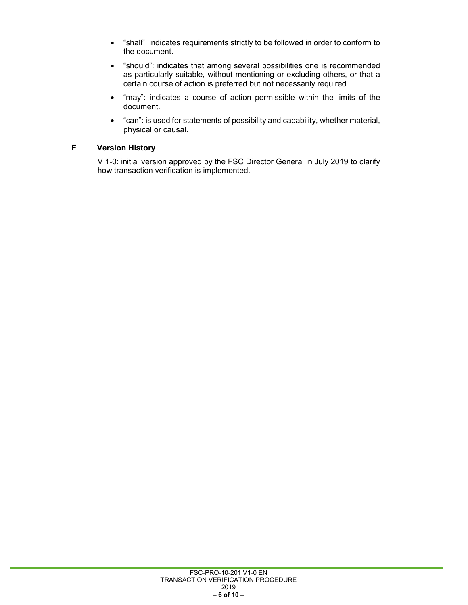- "shall": indicates requirements strictly to be followed in order to conform to the document.
- "should": indicates that among several possibilities one is recommended as particularly suitable, without mentioning or excluding others, or that a certain course of action is preferred but not necessarily required.
- "may": indicates a course of action permissible within the limits of the document.
- "can": is used for statements of possibility and capability, whether material, physical or causal.

#### F Version History

V 1-0: initial version approved by the FSC Director General in July 2019 to clarify how transaction verification is implemented.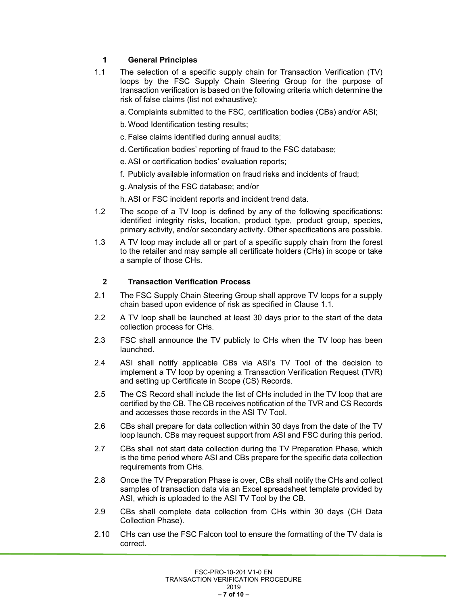## 1 General Principles

1.1 The selection of a specific supply chain for Transaction Verification (TV) loops by the FSC Supply Chain Steering Group for the purpose of transaction verification is based on the following criteria which determine the risk of false claims (list not exhaustive):

a. Complaints submitted to the FSC, certification bodies (CBs) and/or ASI;

- b. Wood Identification testing results;
- c. False claims identified during annual audits;
- d. Certification bodies' reporting of fraud to the FSC database;
- e. ASI or certification bodies' evaluation reports;
- f. Publicly available information on fraud risks and incidents of fraud;

g. Analysis of the FSC database; and/or

h. ASI or FSC incident reports and incident trend data.

- 1.2 The scope of a TV loop is defined by any of the following specifications: identified integrity risks, location, product type, product group, species, primary activity, and/or secondary activity. Other specifications are possible.
- 1.3 A TV loop may include all or part of a specific supply chain from the forest to the retailer and may sample all certificate holders (CHs) in scope or take a sample of those CHs.

## 2 Transaction Verification Process

- 2.1 The FSC Supply Chain Steering Group shall approve TV loops for a supply chain based upon evidence of risk as specified in Clause 1.1.
- 2.2 A TV loop shall be launched at least 30 days prior to the start of the data collection process for CHs.
- 2.3 FSC shall announce the TV publicly to CHs when the TV loop has been launched.
- 2.4 ASI shall notify applicable CBs via ASI's TV Tool of the decision to implement a TV loop by opening a Transaction Verification Request (TVR) and setting up Certificate in Scope (CS) Records.
- 2.5 The CS Record shall include the list of CHs included in the TV loop that are certified by the CB. The CB receives notification of the TVR and CS Records and accesses those records in the ASI TV Tool.
- 2.6 CBs shall prepare for data collection within 30 days from the date of the TV loop launch. CBs may request support from ASI and FSC during this period.
- 2.7 CBs shall not start data collection during the TV Preparation Phase, which is the time period where ASI and CBs prepare for the specific data collection requirements from CHs.
- 2.8 Once the TV Preparation Phase is over, CBs shall notify the CHs and collect samples of transaction data via an Excel spreadsheet template provided by ASI, which is uploaded to the ASI TV Tool by the CB.
- 2.9 CBs shall complete data collection from CHs within 30 days (CH Data Collection Phase).
- 2.10 CHs can use the FSC Falcon tool to ensure the formatting of the TV data is correct.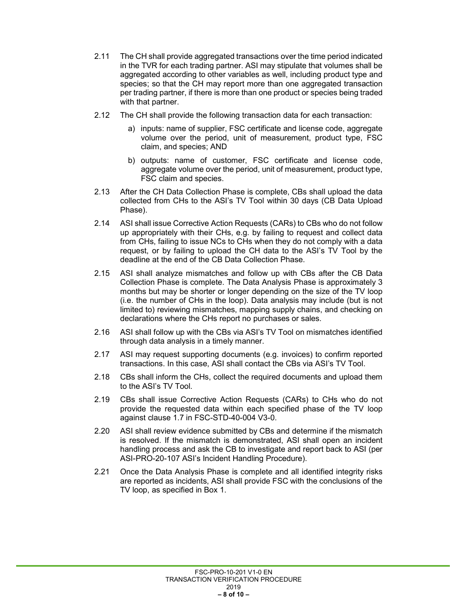- 2.11 The CH shall provide aggregated transactions over the time period indicated in the TVR for each trading partner. ASI may stipulate that volumes shall be aggregated according to other variables as well, including product type and species; so that the CH may report more than one aggregated transaction per trading partner, if there is more than one product or species being traded with that partner.
- 2.12 The CH shall provide the following transaction data for each transaction:
	- a) inputs: name of supplier, FSC certificate and license code, aggregate volume over the period, unit of measurement, product type, FSC claim, and species; AND
	- b) outputs: name of customer, FSC certificate and license code, aggregate volume over the period, unit of measurement, product type, FSC claim and species.
- 2.13 After the CH Data Collection Phase is complete, CBs shall upload the data collected from CHs to the ASI's TV Tool within 30 days (CB Data Upload Phase).
- 2.14 ASI shall issue Corrective Action Requests (CARs) to CBs who do not follow up appropriately with their CHs, e.g. by failing to request and collect data from CHs, failing to issue NCs to CHs when they do not comply with a data request, or by failing to upload the CH data to the ASI's TV Tool by the deadline at the end of the CB Data Collection Phase.
- 2.15 ASI shall analyze mismatches and follow up with CBs after the CB Data Collection Phase is complete. The Data Analysis Phase is approximately 3 months but may be shorter or longer depending on the size of the TV loop (i.e. the number of CHs in the loop). Data analysis may include (but is not limited to) reviewing mismatches, mapping supply chains, and checking on declarations where the CHs report no purchases or sales.
- 2.16 ASI shall follow up with the CBs via ASI's TV Tool on mismatches identified through data analysis in a timely manner.
- 2.17 ASI may request supporting documents (e.g. invoices) to confirm reported transactions. In this case, ASI shall contact the CBs via ASI's TV Tool.
- 2.18 CBs shall inform the CHs, collect the required documents and upload them to the ASI's TV Tool.
- 2.19 CBs shall issue Corrective Action Requests (CARs) to CHs who do not provide the requested data within each specified phase of the TV loop against clause 1.7 in FSC-STD-40-004 V3-0.
- 2.20 ASI shall review evidence submitted by CBs and determine if the mismatch is resolved. If the mismatch is demonstrated, ASI shall open an incident handling process and ask the CB to investigate and report back to ASI (per ASI-PRO-20-107 ASI's Incident Handling Procedure).
- 2.21 Once the Data Analysis Phase is complete and all identified integrity risks are reported as incidents, ASI shall provide FSC with the conclusions of the TV loop, as specified in Box 1.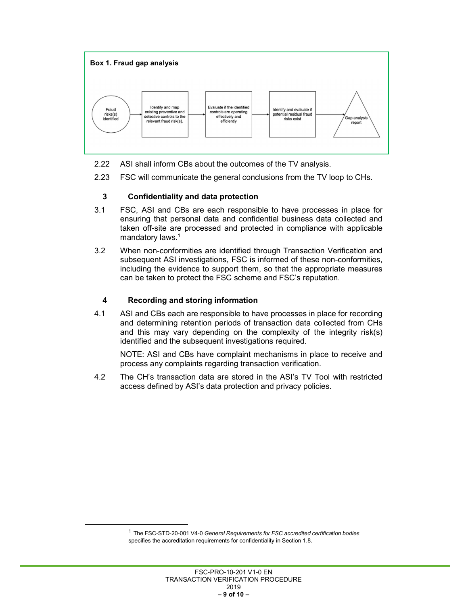

- 2.22 ASI shall inform CBs about the outcomes of the TV analysis.
- 2.23 FSC will communicate the general conclusions from the TV loop to CHs.

#### 3 Confidentiality and data protection

- 3.1 FSC, ASI and CBs are each responsible to have processes in place for ensuring that personal data and confidential business data collected and taken off-site are processed and protected in compliance with applicable mandatory laws.<sup>1</sup>
- 3.2 When non-conformities are identified through Transaction Verification and subsequent ASI investigations, FSC is informed of these non-conformities, including the evidence to support them, so that the appropriate measures can be taken to protect the FSC scheme and FSC's reputation.

#### 4 Recording and storing information

 $\overline{a}$ 

4.1 ASI and CBs each are responsible to have processes in place for recording and determining retention periods of transaction data collected from CHs and this may vary depending on the complexity of the integrity risk(s) identified and the subsequent investigations required.

NOTE: ASI and CBs have complaint mechanisms in place to receive and process any complaints regarding transaction verification.

4.2 The CH's transaction data are stored in the ASI's TV Tool with restricted access defined by ASI's data protection and privacy policies.

 $1$  The FSC-STD-20-001 V4-0 General Requirements for FSC accredited certification bodies specifies the accreditation requirements for confidentiality in Section 1.8.